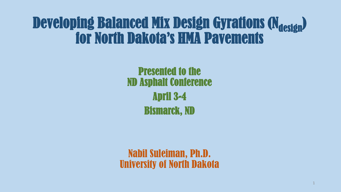# Developing Balanced Mix Design Gyrations (N<sub>design</sub>) for North Dakota's HMA Pavements

Presented to the ND Asphalt Conference April 3-4 Bismarck, ND

Nabil Suleiman, Ph.D. University of North Dakota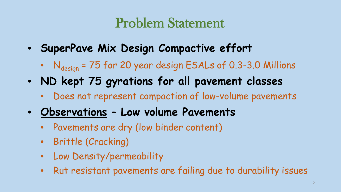## Problem Statement

- **SuperPave Mix Design Compactive effort**
	- $N_{design}$  = 75 for 20 year design ESALs of 0.3-3.0 Millions
- **ND kept 75 gyrations for all pavement classes**
	- Does not represent compaction of low-volume pavements
- **Observations – Low volume Pavements**
	- Pavements are dry (low binder content)
	- Brittle (Cracking)
	- Low Density/permeability
	- Rut resistant pavements are failing due to durability issues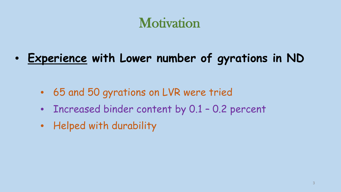## **Motivation**

• **Experience with Lower number of gyrations in ND**

- 65 and 50 gyrations on LVR were tried
- Increased binder content by 0.1 0.2 percent
- Helped with durability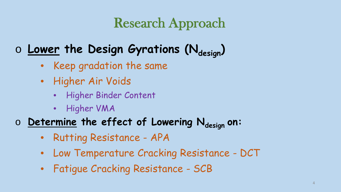## Research Approach

#### **o Lower the Design Gyrations (Ndesign)**

- Keep gradation the same
- Higher Air Voids
	- Higher Binder Content
	- Higher VMA
- $\circ$  **Determine the effect of Lowering Ndesign on:** 
	- Rutting Resistance APA
	- Low Temperature Cracking Resistance DCT
	- Fatigue Cracking Resistance SCB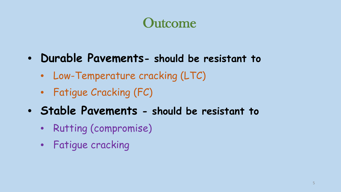### **Outcome**

- **Durable Pavements- should be resistant to**
	- Low-Temperature cracking (LTC)
	- Fatigue Cracking (FC)
- **Stable Pavements - should be resistant to**
	- Rutting (compromise)
	- Fatigue cracking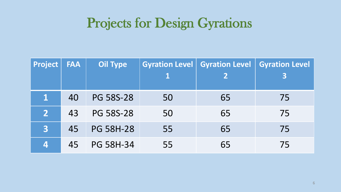#### Projects for Design Gyrations

| Project        | <b>FAA</b> | <b>Oil Type</b>  |    | Gyration Level   Gyration Level   Gyration Level |    |
|----------------|------------|------------------|----|--------------------------------------------------|----|
|                |            |                  |    |                                                  |    |
| $\mathbf 1$    | 40         | <b>PG 58S-28</b> | 50 | 65                                               | 75 |
| 2              | 43         | <b>PG 58S-28</b> | 50 | 65                                               | 75 |
| 3 <sup>1</sup> | 45         | <b>PG 58H-28</b> | 55 | 65                                               | 75 |
| 4              | 45         | <b>PG 58H-34</b> | 55 | 65                                               | 75 |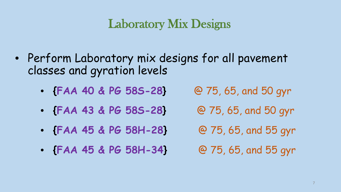#### Laboratory Mix Designs

- Perform Laboratory mix designs for all pavement classes and gyration levels
	- **{FAA 40 & PG 58S-28}** @ 75, 65, and 50 gyr
		-
	- **{FAA 43 & PG 58S-28}** @ 75, 65, and 50 gyr
	- **{FAA 45 & PG 58H-28}** @ 75, 65, and 55 gyr
- - **{FAA 45 & PG 58H-34}** @ 75, 65, and 55 gyr
-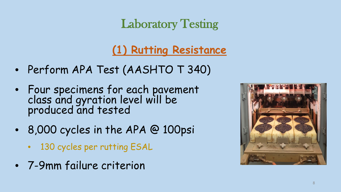#### Laboratory Testing

#### **(1) Rutting Resistance**

- Perform APA Test (AASHTO T 340)
- Four specimens for each pavement class and gyration level will be produced and tested
- 8,000 cycles in the APA @ 100psi
	- 130 cycles per rutting ESAL
- 7-9mm failure criterion

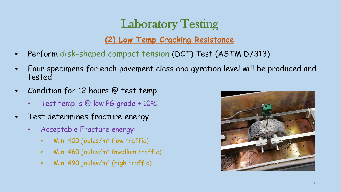#### Laboratory Testing

#### **(2) Low Temp Cracking Resistance**

- Perform disk-shaped compact tension (DCT) Test (ASTM D7313)
- Four specimens for each pavement class and gyration level will be produced and tested
- Condition for 12 hours @ test temp
	- Test temp is @ low PG grade +  $10^{\circ}C$
- Test determines fracture energy
	- Acceptable Fracture energy:
		- Min. 400 joules/m2 (low traffic)
		- Min. 460 joules/m2 (medium traffic)
		- Min. 490 joules/m2 (high traffic)

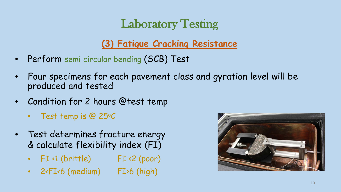#### Laboratory Testing

**(3) Fatigue Cracking Resistance**

- Perform semi circular bending (SCB) Test
- Four specimens for each pavement class and gyration level will be produced and tested
- Condition for 2 hours @test temp
	- Test temp is @ 25°C
- Test determines fracture energy & calculate flexibility index (FI)
	- FI<1 (brittle) FI<2 (poor)
	- 2<FI<6 (medium) FI>6 (high)

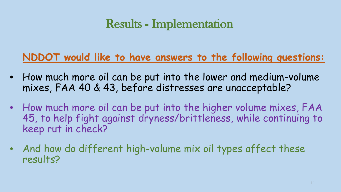#### Results - Implementation

#### **NDDOT would like to have answers to the following questions:**

- How much more oil can be put into the lower and medium-volume mixes, FAA 40 & 43, before distresses are unacceptable?
- How much more oil can be put into the higher volume mixes, FAA 45, to help fight against dryness/brittleness, while continuing to keep rut in check?
- And how do different high-volume mix oil types affect these results?